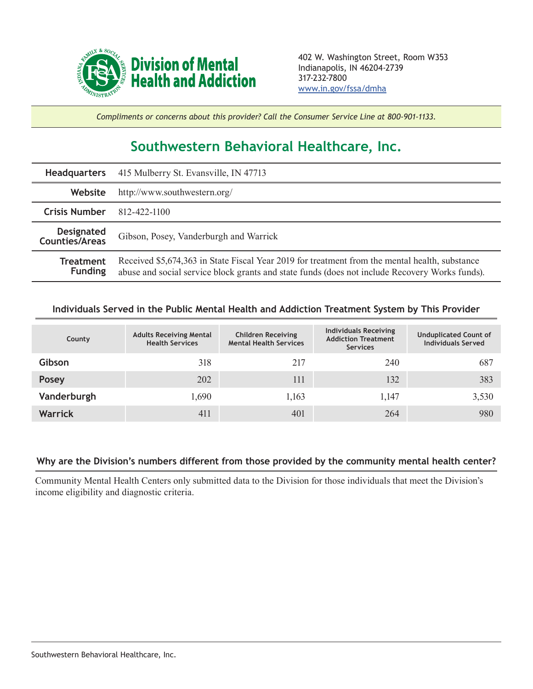

*Compliments or concerns about this provider? Call the Consumer Service Line at 800-901-1133.*

## **Southwestern Behavioral Healthcare, Inc.**

| <b>Headquarters</b>                        | 415 Mulberry St. Evansville, IN 47713                                                                                                                                                            |  |  |  |
|--------------------------------------------|--------------------------------------------------------------------------------------------------------------------------------------------------------------------------------------------------|--|--|--|
| Website                                    | http://www.southwestern.org/                                                                                                                                                                     |  |  |  |
| <b>Crisis Number</b>                       | 812-422-1100                                                                                                                                                                                     |  |  |  |
| <b>Designated</b><br><b>Counties/Areas</b> | Gibson, Posey, Vanderburgh and Warrick                                                                                                                                                           |  |  |  |
| <b>Treatment</b><br><b>Funding</b>         | Received \$5,674,363 in State Fiscal Year 2019 for treatment from the mental health, substance<br>abuse and social service block grants and state funds (does not include Recovery Works funds). |  |  |  |

## **Individuals Served in the Public Mental Health and Addiction Treatment System by This Provider**

| County         | <b>Adults Receiving Mental</b><br><b>Health Services</b> | <b>Children Receiving</b><br><b>Mental Health Services</b> | <b>Individuals Receiving</b><br><b>Addiction Treatment</b><br><b>Services</b> | <b>Unduplicated Count of</b><br><b>Individuals Served</b> |
|----------------|----------------------------------------------------------|------------------------------------------------------------|-------------------------------------------------------------------------------|-----------------------------------------------------------|
| Gibson         | 318                                                      | 217                                                        | 240                                                                           | 687                                                       |
| <b>Posey</b>   | 202                                                      | 111                                                        | 132                                                                           | 383                                                       |
| Vanderburgh    | 1,690                                                    | 1,163                                                      | 1,147                                                                         | 3,530                                                     |
| <b>Warrick</b> | 411                                                      | 401                                                        | 264                                                                           | 980                                                       |

## **Why are the Division's numbers different from those provided by the community mental health center?**

Community Mental Health Centers only submitted data to the Division for those individuals that meet the Division's income eligibility and diagnostic criteria.